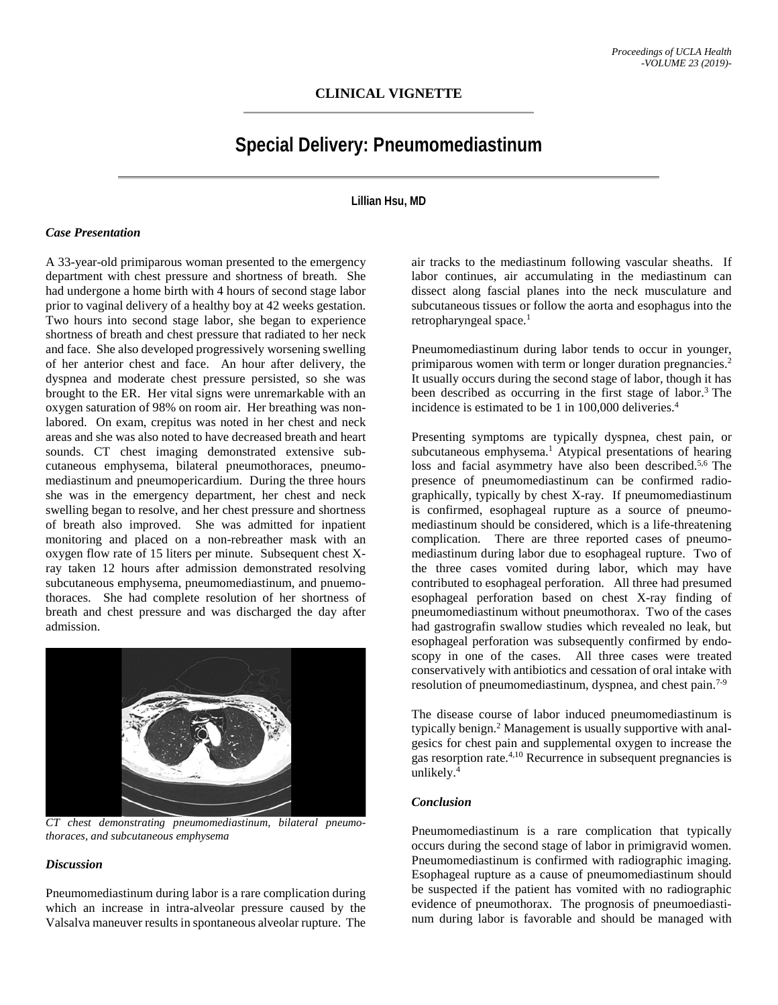# **Special Delivery: Pneumomediastinum**

**Lillian Hsu, MD**

#### *Case Presentation*

A 33-year-old primiparous woman presented to the emergency department with chest pressure and shortness of breath. She had undergone a home birth with 4 hours of second stage labor prior to vaginal delivery of a healthy boy at 42 weeks gestation. Two hours into second stage labor, she began to experience shortness of breath and chest pressure that radiated to her neck and face. She also developed progressively worsening swelling of her anterior chest and face. An hour after delivery, the dyspnea and moderate chest pressure persisted, so she was brought to the ER. Her vital signs were unremarkable with an oxygen saturation of 98% on room air. Her breathing was nonlabored. On exam, crepitus was noted in her chest and neck areas and she was also noted to have decreased breath and heart sounds. CT chest imaging demonstrated extensive subcutaneous emphysema, bilateral pneumothoraces, pneumomediastinum and pneumopericardium. During the three hours she was in the emergency department, her chest and neck swelling began to resolve, and her chest pressure and shortness of breath also improved. She was admitted for inpatient monitoring and placed on a non-rebreather mask with an oxygen flow rate of 15 liters per minute. Subsequent chest Xray taken 12 hours after admission demonstrated resolving subcutaneous emphysema, pneumomediastinum, and pnuemothoraces. She had complete resolution of her shortness of breath and chest pressure and was discharged the day after admission.



*CT chest demonstrating pneumomediastinum, bilateral pneumothoraces, and subcutaneous emphysema*

## *Discussion*

Pneumomediastinum during labor is a rare complication during which an increase in intra-alveolar pressure caused by the Valsalva maneuver results in spontaneous alveolar rupture. The

air tracks to the mediastinum following vascular sheaths. If labor continues, air accumulating in the mediastinum can dissect along fascial planes into the neck musculature and subcutaneous tissues or follow the aorta and esophagus into the retropharyngeal space.<sup>1</sup>

Pneumomediastinum during labor tends to occur in younger, primiparous women with term or longer duration pregnancies.<sup>2</sup> It usually occurs during the second stage of labor, though it has been described as occurring in the first stage of labor.<sup>3</sup> The incidence is estimated to be 1 in 100,000 deliveries.<sup>4</sup>

Presenting symptoms are typically dyspnea, chest pain, or subcutaneous emphysema.<sup>1</sup> Atypical presentations of hearing loss and facial asymmetry have also been described.<sup>5,6</sup> The presence of pneumomediastinum can be confirmed radiographically, typically by chest X-ray. If pneumomediastinum is confirmed, esophageal rupture as a source of pneumomediastinum should be considered, which is a life-threatening complication. There are three reported cases of pneumomediastinum during labor due to esophageal rupture. Two of the three cases vomited during labor, which may have contributed to esophageal perforation. All three had presumed esophageal perforation based on chest X-ray finding of pneumomediastinum without pneumothorax. Two of the cases had gastrografin swallow studies which revealed no leak, but esophageal perforation was subsequently confirmed by endoscopy in one of the cases. All three cases were treated conservatively with antibiotics and cessation of oral intake with resolution of pneumomediastinum, dyspnea, and chest pain.<sup>7-9</sup>

The disease course of labor induced pneumomediastinum is typically benign. <sup>2</sup> Management is usually supportive with analgesics for chest pain and supplemental oxygen to increase the gas resorption rate.<sup>4,10</sup> Recurrence in subsequent pregnancies is unlikely.4

### *Conclusion*

Pneumomediastinum is a rare complication that typically occurs during the second stage of labor in primigravid women. Pneumomediastinum is confirmed with radiographic imaging. Esophageal rupture as a cause of pneumomediastinum should be suspected if the patient has vomited with no radiographic evidence of pneumothorax. The prognosis of pneumoediastinum during labor is favorable and should be managed with